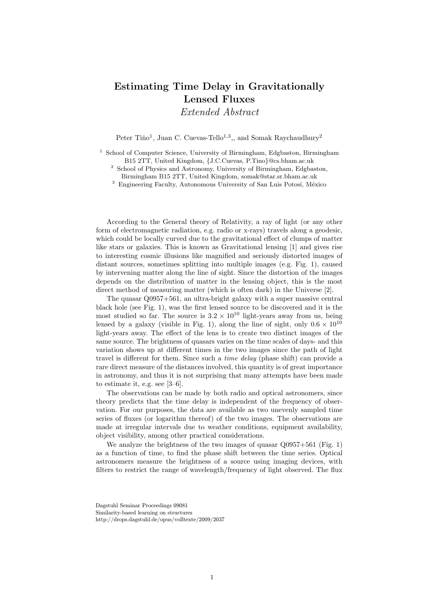## Estimating Time Delay in Gravitationally Lensed Fluxes

Extended Abstract

Peter Tiňo<sup>1</sup>, Juan C. Cuevas-Tello<sup>1,3</sup>,, and Somak Raychaudhury<sup>2</sup>

<sup>1</sup> School of Computer Science, University of Birmingham, Edgbaston, Birmingham B15 2TT, United Kingdom, {J.C.Cuevas, P.Tino}@cs.bham.ac.uk

<sup>2</sup> School of Physics and Astronomy, University of Birmingham, Edgbaston,

Birmingham B15 2TT, United Kingdom, somak@star.sr.bham.ac.uk

 $3$  Engineering Faculty, Autonomous University of San Luis Potosí, México

According to the General theory of Relativity, a ray of light (or any other form of electromagnetic radiation, e.g. radio or x-rays) travels along a geodesic, which could be locally curved due to the gravitational effect of clumps of matter like stars or galaxies. This is known as Gravitational lensing [1] and gives rise to interesting cosmic illusions like magnified and seriously distorted images of distant sources, sometimes splitting into multiple images (e.g. Fig. 1), caused by intervening matter along the line of sight. Since the distortion of the images depends on the distribution of matter in the lensing object, this is the most direct method of measuring matter (which is often dark) in the Universe [2].

The quasar Q0957+561, an ultra-bright galaxy with a super massive central black hole (see Fig. 1), was the first lensed source to be discovered and it is the most studied so far. The source is  $3.2 \times 10^{10}$  light-years away from us, being lensed by a galaxy (visible in Fig. 1), along the line of sight, only  $0.6 \times 10^{10}$ light-years away. The effect of the lens is to create two distinct images of the same source. The brightness of quasars varies on the time scales of days- and this variation shows up at different times in the two images since the path of light travel is different for them. Since such a time delay (phase shift) can provide a rare direct measure of the distances involved, this quantity is of great importance in astronomy, and thus it is not surprising that many attempts have been made to estimate it, e.g. see [3–6].

The observations can be made by both radio and optical astronomers, since theory predicts that the time delay is independent of the frequency of observation. For our purposes, the data are available as two unevenly sampled time series of fluxes (or logarithm thereof) of the two images. The observations are made at irregular intervals due to weather conditions, equipment availability, object visibility, among other practical considerations.

We analyze the brightness of the two images of quasar  $O(9957+561)$  (Fig. 1) as a function of time, to find the phase shift between the time series. Optical astronomers measure the brightness of a source using imaging devices, with filters to restrict the range of wavelength/frequency of light observed. The flux

Dagstuhl Seminar Proceedings 09081 Similarity-based learning on structures http://drops.dagstuhl.de/opus/volltexte/2009/2037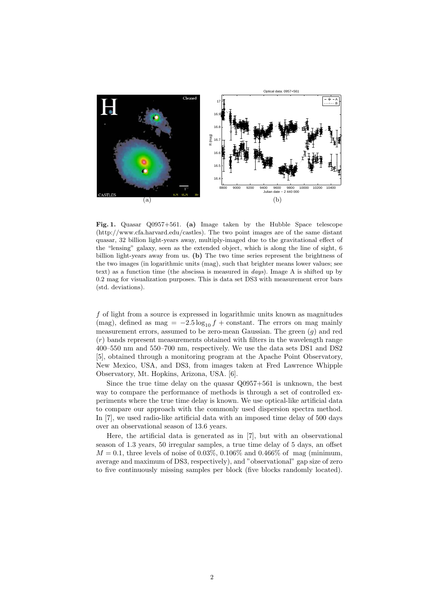

Fig. 1. Quasar Q0957+561. (a) Image taken by the Hubble Space telescope (http://www.cfa.harvard.edu/castles). The two point images are of the same distant quasar, 32 billion light-years away, multiply-imaged due to the gravitational effect of the "lensing" galaxy, seen as the extended object, which is along the line of sight, 6 billion light-years away from us. (b) The two time series represent the brightness of the two images (in logarithmic units (mag), such that brighter means lower values; see text) as a function time (the abscissa is measured in  $days$ ). Image A is shifted up by 0.2 mag for visualization purposes. This is data set DS3 with measurement error bars (std. deviations).

f of light from a source is expressed in logarithmic units known as magnitudes (mag), defined as mag =  $-2.5 \log_{10} f + \text{constant}$ . The errors on mag mainly measurement errors, assumed to be zero-mean Gaussian. The green  $(g)$  and red  $(r)$  bands represent measurements obtained with filters in the wavelength range 400–550 nm and 550–700 nm, respectively. We use the data sets DS1 and DS2 [5], obtained through a monitoring program at the Apache Point Observatory, New Mexico, USA, and DS3, from images taken at Fred Lawrence Whipple Observatory, Mt. Hopkins, Arizona, USA. [6].

Since the true time delay on the quasar Q0957+561 is unknown, the best way to compare the performance of methods is through a set of controlled experiments where the true time delay is known. We use optical-like artificial data to compare our approach with the commonly used dispersion spectra method. In [7], we used radio-like artificial data with an imposed time delay of 500 days over an observational season of 13.6 years.

Here, the artificial data is generated as in [7], but with an observational season of 1.3 years, 50 irregular samples, a true time delay of 5 days, an offset  $M = 0.1$ , three levels of noise of 0.03%, 0.106% and 0.466% of mag (minimum, average and maximum of DS3, respectively), and "observational" gap size of zero to five continuously missing samples per block (five blocks randomly located).